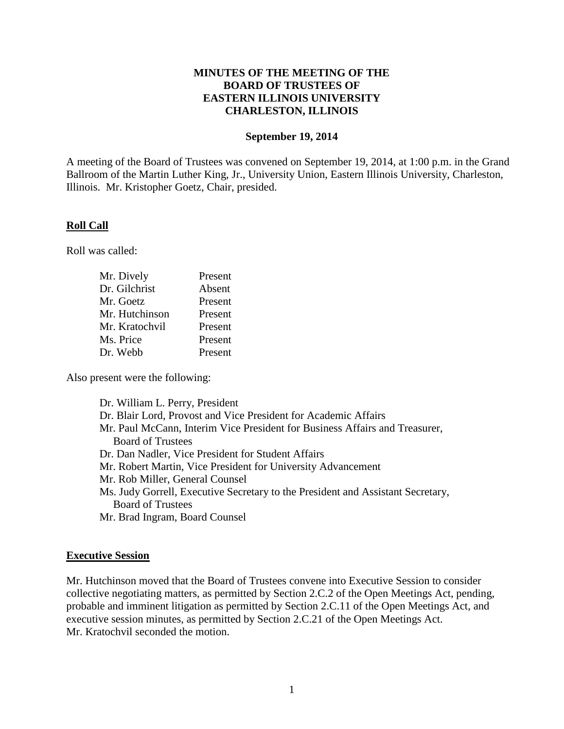### **MINUTES OF THE MEETING OF THE BOARD OF TRUSTEES OF EASTERN ILLINOIS UNIVERSITY CHARLESTON, ILLINOIS**

#### **September 19, 2014**

A meeting of the Board of Trustees was convened on September 19, 2014, at 1:00 p.m. in the Grand Ballroom of the Martin Luther King, Jr., University Union, Eastern Illinois University, Charleston, Illinois. Mr. Kristopher Goetz, Chair, presided.

#### **Roll Call**

Roll was called:

| Mr. Dively     | Present |
|----------------|---------|
| Dr. Gilchrist  | Absent  |
| Mr. Goetz      | Present |
| Mr. Hutchinson | Present |
| Mr. Kratochvil | Present |
| Ms. Price      | Present |
| Dr. Webb       | Present |

Also present were the following:

Dr. William L. Perry, President Dr. Blair Lord, Provost and Vice President for Academic Affairs Mr. Paul McCann, Interim Vice President for Business Affairs and Treasurer, Board of Trustees Dr. Dan Nadler, Vice President for Student Affairs Mr. Robert Martin, Vice President for University Advancement Mr. Rob Miller, General Counsel Ms. Judy Gorrell, Executive Secretary to the President and Assistant Secretary, Board of Trustees Mr. Brad Ingram, Board Counsel

### **Executive Session**

Mr. Hutchinson moved that the Board of Trustees convene into Executive Session to consider collective negotiating matters, as permitted by Section 2.C.2 of the Open Meetings Act, pending, probable and imminent litigation as permitted by Section 2.C.11 of the Open Meetings Act, and executive session minutes, as permitted by Section 2.C.21 of the Open Meetings Act. Mr. Kratochvil seconded the motion.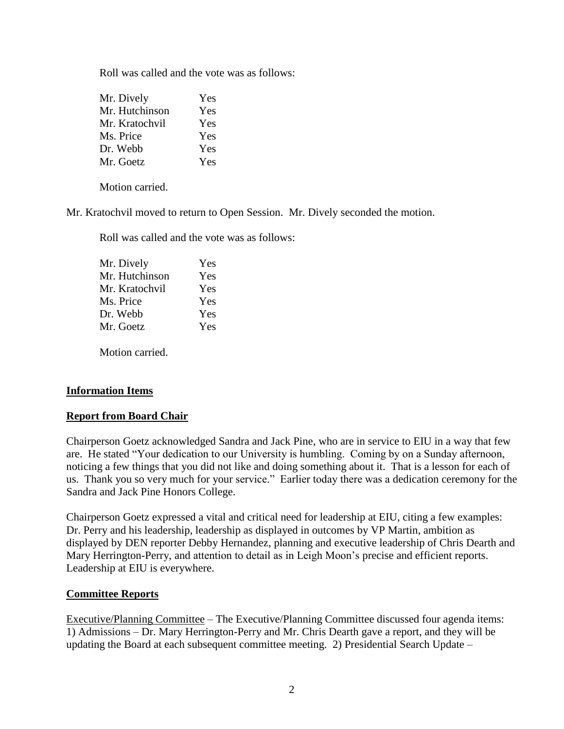Roll was called and the vote was as follows:

| Mr. Dively     | Yes |
|----------------|-----|
| Mr. Hutchinson | Yes |
| Mr. Kratochvil | Yes |
| Ms. Price      | Yes |
| Dr. Webb       | Yes |
| Mr. Goetz      | Yes |

Motion carried.

Mr. Kratochvil moved to return to Open Session. Mr. Dively seconded the motion.

Roll was called and the vote was as follows:

| Yes |
|-----|
| Yes |
| Yes |
| Yes |
| Yes |
| Yes |
|     |

Motion carried.

### **Information Items**

### **Report from Board Chair**

Chairperson Goetz acknowledged Sandra and Jack Pine, who are in service to EIU in a way that few are. He stated "Your dedication to our University is humbling. Coming by on a Sunday afternoon, noticing a few things that you did not like and doing something about it. That is a lesson for each of us. Thank you so very much for your service." Earlier today there was a dedication ceremony for the Sandra and Jack Pine Honors College.

Chairperson Goetz expressed a vital and critical need for leadership at EIU, citing a few examples: Dr. Perry and his leadership, leadership as displayed in outcomes by VP Martin, ambition as displayed by DEN reporter Debby Hernandez, planning and executive leadership of Chris Dearth and Mary Herrington-Perry, and attention to detail as in Leigh Moon's precise and efficient reports. Leadership at EIU is everywhere.

### **Committee Reports**

Executive/Planning Committee – The Executive/Planning Committee discussed four agenda items: 1) Admissions – Dr. Mary Herrington-Perry and Mr. Chris Dearth gave a report, and they will be updating the Board at each subsequent committee meeting. 2) Presidential Search Update –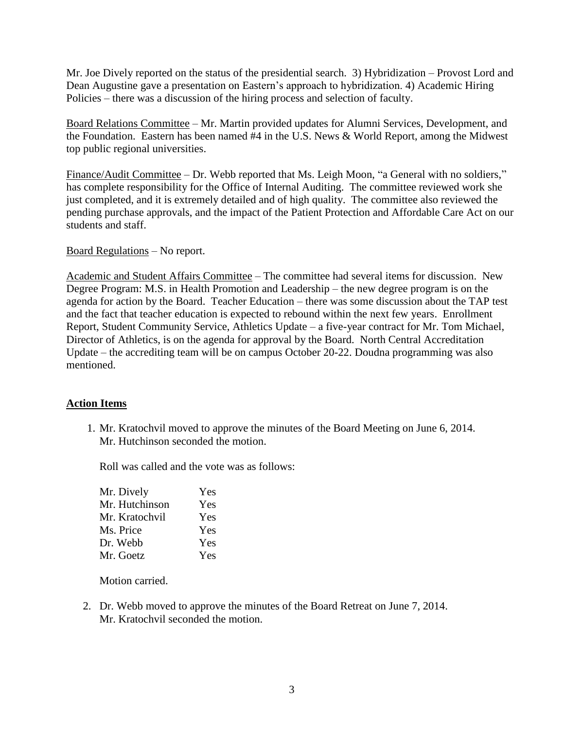Mr. Joe Dively reported on the status of the presidential search. 3) Hybridization – Provost Lord and Dean Augustine gave a presentation on Eastern's approach to hybridization. 4) Academic Hiring Policies – there was a discussion of the hiring process and selection of faculty.

Board Relations Committee – Mr. Martin provided updates for Alumni Services, Development, and the Foundation. Eastern has been named #4 in the U.S. News & World Report, among the Midwest top public regional universities.

Finance/Audit Committee – Dr. Webb reported that Ms. Leigh Moon, "a General with no soldiers," has complete responsibility for the Office of Internal Auditing. The committee reviewed work she just completed, and it is extremely detailed and of high quality. The committee also reviewed the pending purchase approvals, and the impact of the Patient Protection and Affordable Care Act on our students and staff.

### Board Regulations – No report.

Academic and Student Affairs Committee – The committee had several items for discussion. New Degree Program: M.S. in Health Promotion and Leadership – the new degree program is on the agenda for action by the Board. Teacher Education – there was some discussion about the TAP test and the fact that teacher education is expected to rebound within the next few years. Enrollment Report, Student Community Service, Athletics Update – a five-year contract for Mr. Tom Michael, Director of Athletics, is on the agenda for approval by the Board. North Central Accreditation Update – the accrediting team will be on campus October 20-22. Doudna programming was also mentioned.

## **Action Items**

1. Mr. Kratochvil moved to approve the minutes of the Board Meeting on June 6, 2014. Mr. Hutchinson seconded the motion.

Roll was called and the vote was as follows:

| Mr. Dively     | Yes |
|----------------|-----|
| Mr. Hutchinson | Yes |
| Mr. Kratochvil | Yes |
| Ms. Price      | Yes |
| Dr. Webb       | Yes |
| Mr. Goetz      | Yes |

Motion carried.

2. Dr. Webb moved to approve the minutes of the Board Retreat on June 7, 2014. Mr. Kratochvil seconded the motion.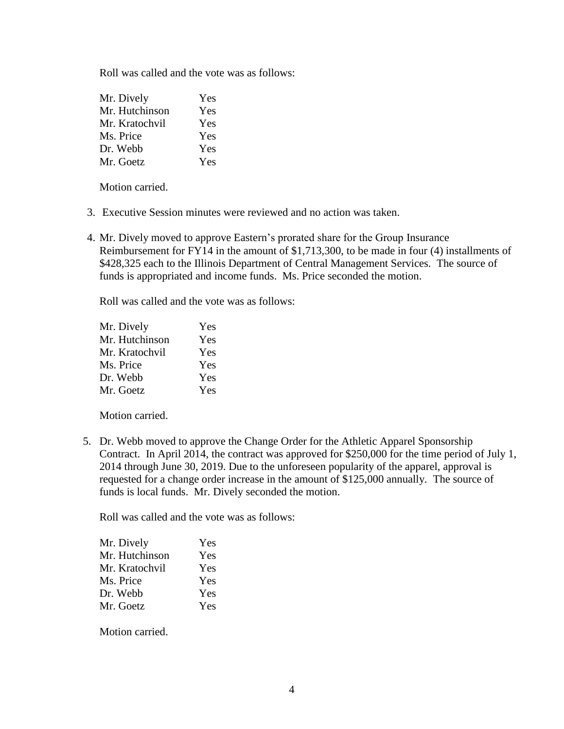Roll was called and the vote was as follows:

| Mr. Dively     | Yes |
|----------------|-----|
| Mr. Hutchinson | Yes |
| Mr. Kratochvil | Yes |
| Ms. Price      | Yes |
| Dr. Webb       | Yes |
| Mr. Goetz      | Yes |

Motion carried.

- 3. Executive Session minutes were reviewed and no action was taken.
- 4. Mr. Dively moved to approve Eastern's prorated share for the Group Insurance Reimbursement for FY14 in the amount of \$1,713,300, to be made in four (4) installments of \$428,325 each to the Illinois Department of Central Management Services. The source of funds is appropriated and income funds. Ms. Price seconded the motion.

Roll was called and the vote was as follows:

| Mr. Dively     | Yes |
|----------------|-----|
| Mr. Hutchinson | Yes |
| Mr. Kratochvil | Yes |
| Ms. Price      | Yes |
| Dr. Webb       | Yes |
| Mr. Goetz      | Yes |

Motion carried.

5. Dr. Webb moved to approve the Change Order for the Athletic Apparel Sponsorship Contract. In April 2014, the contract was approved for \$250,000 for the time period of July 1, 2014 through June 30, 2019. Due to the unforeseen popularity of the apparel, approval is requested for a change order increase in the amount of \$125,000 annually. The source of funds is local funds. Mr. Dively seconded the motion.

Roll was called and the vote was as follows:

| Mr. Dively     | Yes |
|----------------|-----|
| Mr. Hutchinson | Yes |
| Mr. Kratochvil | Yes |
| Ms. Price      | Yes |
| Dr. Webb       | Yes |
| Mr. Goetz      | Yes |

Motion carried.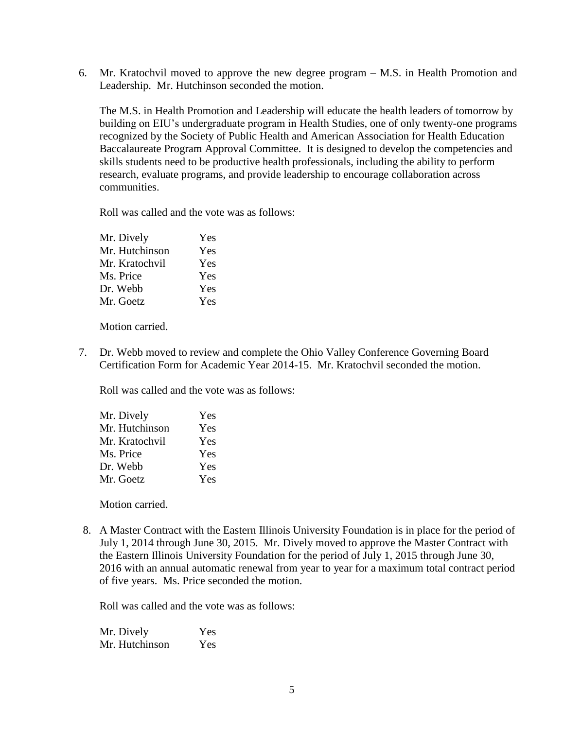6. Mr. Kratochvil moved to approve the new degree program – M.S. in Health Promotion and Leadership. Mr. Hutchinson seconded the motion.

The M.S. in Health Promotion and Leadership will educate the health leaders of tomorrow by building on EIU's undergraduate program in Health Studies, one of only twenty-one programs recognized by the Society of Public Health and American Association for Health Education Baccalaureate Program Approval Committee. It is designed to develop the competencies and skills students need to be productive health professionals, including the ability to perform research, evaluate programs, and provide leadership to encourage collaboration across communities.

Roll was called and the vote was as follows:

| Yes |
|-----|
| Yes |
| Yes |
| Yes |
| Yes |
| Yes |
|     |

Motion carried.

7. Dr. Webb moved to review and complete the Ohio Valley Conference Governing Board Certification Form for Academic Year 2014-15. Mr. Kratochvil seconded the motion.

Roll was called and the vote was as follows:

| Mr. Dively     | Yes |
|----------------|-----|
| Mr. Hutchinson | Yes |
| Mr. Kratochvil | Yes |
| Ms. Price      | Yes |
| Dr. Webb       | Yes |
| Mr. Goetz      | Yes |

Motion carried.

8. A Master Contract with the Eastern Illinois University Foundation is in place for the period of July 1, 2014 through June 30, 2015. Mr. Dively moved to approve the Master Contract with the Eastern Illinois University Foundation for the period of July 1, 2015 through June 30, 2016 with an annual automatic renewal from year to year for a maximum total contract period of five years. Ms. Price seconded the motion.

Roll was called and the vote was as follows:

Mr. Dively Yes Mr. Hutchinson Yes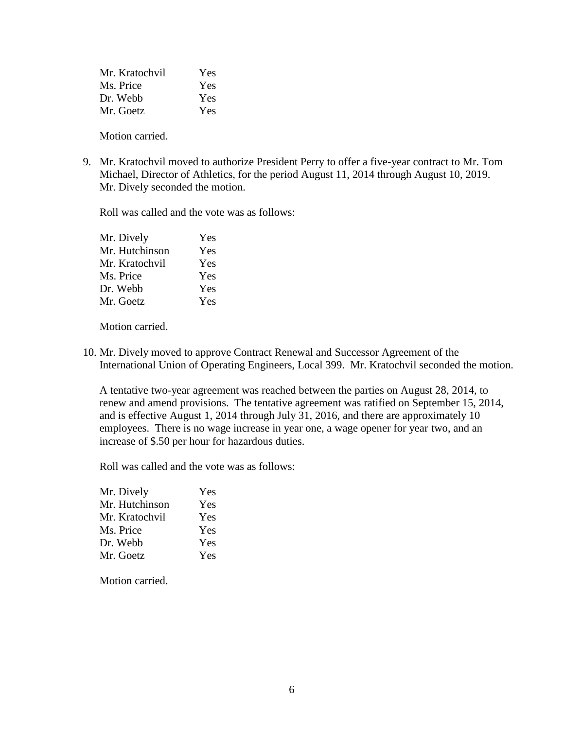| Mr. Kratochvil | Yes |
|----------------|-----|
| Ms. Price      | Yes |
| Dr. Webb       | Yes |
| Mr. Goetz      | Yes |

Motion carried.

9. Mr. Kratochvil moved to authorize President Perry to offer a five-year contract to Mr. Tom Michael, Director of Athletics, for the period August 11, 2014 through August 10, 2019. Mr. Dively seconded the motion.

Roll was called and the vote was as follows:

| Yes |
|-----|
| Yes |
| Yes |
| Yes |
| Yes |
| Yes |
|     |

Motion carried.

10. Mr. Dively moved to approve Contract Renewal and Successor Agreement of the International Union of Operating Engineers, Local 399. Mr. Kratochvil seconded the motion.

A tentative two-year agreement was reached between the parties on August 28, 2014, to renew and amend provisions. The tentative agreement was ratified on September 15, 2014, and is effective August 1, 2014 through July 31, 2016, and there are approximately 10 employees. There is no wage increase in year one, a wage opener for year two, and an increase of \$.50 per hour for hazardous duties.

Roll was called and the vote was as follows:

| Mr. Dively     | Yes |
|----------------|-----|
| Mr. Hutchinson | Yes |
| Mr. Kratochvil | Yes |
| Ms. Price      | Yes |
| Dr. Webb       | Yes |
| Mr. Goetz      | Yes |

Motion carried.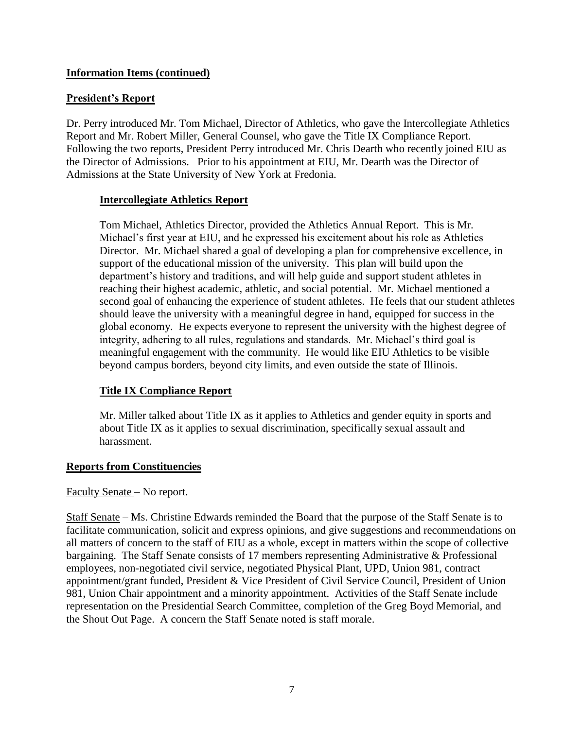# **Information Items (continued)**

# **President's Report**

Dr. Perry introduced Mr. Tom Michael, Director of Athletics, who gave the Intercollegiate Athletics Report and Mr. Robert Miller, General Counsel, who gave the Title IX Compliance Report. Following the two reports, President Perry introduced Mr. Chris Dearth who recently joined EIU as the Director of Admissions. Prior to his appointment at EIU, Mr. Dearth was the Director of Admissions at the State University of New York at Fredonia.

## **Intercollegiate Athletics Report**

Tom Michael, Athletics Director, provided the Athletics Annual Report. This is Mr. Michael's first year at EIU, and he expressed his excitement about his role as Athletics Director. Mr. Michael shared a goal of developing a plan for comprehensive excellence, in support of the educational mission of the university. This plan will build upon the department's history and traditions, and will help guide and support student athletes in reaching their highest academic, athletic, and social potential. Mr. Michael mentioned a second goal of enhancing the experience of student athletes. He feels that our student athletes should leave the university with a meaningful degree in hand, equipped for success in the global economy. He expects everyone to represent the university with the highest degree of integrity, adhering to all rules, regulations and standards. Mr. Michael's third goal is meaningful engagement with the community. He would like EIU Athletics to be visible beyond campus borders, beyond city limits, and even outside the state of Illinois.

# **Title IX Compliance Report**

Mr. Miller talked about Title IX as it applies to Athletics and gender equity in sports and about Title IX as it applies to sexual discrimination, specifically sexual assault and harassment.

## **Reports from Constituencies**

## Faculty Senate – No report.

Staff Senate – Ms. Christine Edwards reminded the Board that the purpose of the Staff Senate is to facilitate communication, solicit and express opinions, and give suggestions and recommendations on all matters of concern to the staff of EIU as a whole, except in matters within the scope of collective bargaining. The Staff Senate consists of 17 members representing Administrative & Professional employees, non-negotiated civil service, negotiated Physical Plant, UPD, Union 981, contract appointment/grant funded, President & Vice President of Civil Service Council, President of Union 981, Union Chair appointment and a minority appointment. Activities of the Staff Senate include representation on the Presidential Search Committee, completion of the Greg Boyd Memorial, and the Shout Out Page. A concern the Staff Senate noted is staff morale.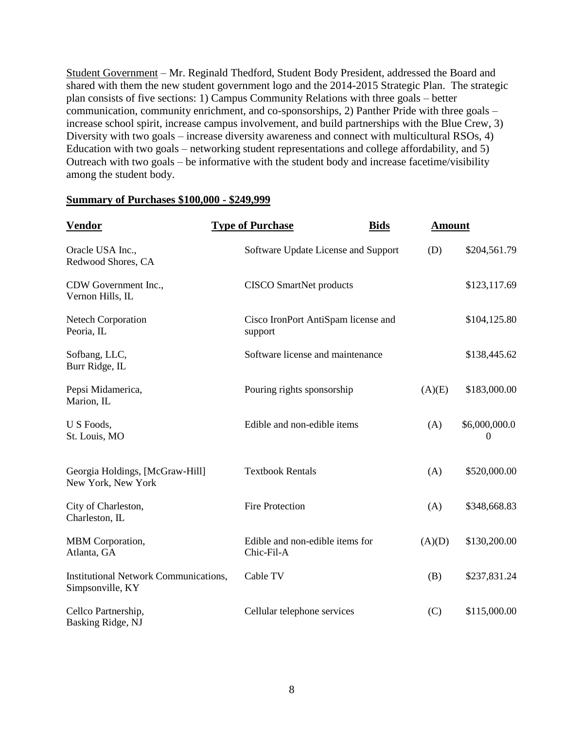Student Government – Mr. Reginald Thedford, Student Body President, addressed the Board and shared with them the new student government logo and the 2014-2015 Strategic Plan. The strategic plan consists of five sections: 1) Campus Community Relations with three goals – better communication, community enrichment, and co-sponsorships, 2) Panther Pride with three goals – increase school spirit, increase campus involvement, and build partnerships with the Blue Crew, 3) Diversity with two goals – increase diversity awareness and connect with multicultural RSOs, 4) Education with two goals – networking student representations and college affordability, and 5) Outreach with two goals – be informative with the student body and increase facetime/visibility among the student body.

#### **Summary of Purchases \$100,000 - \$249,999**

| <b>Vendor</b>                                                    | <b>Type of Purchase</b><br><b>Bids</b>         | <b>Amount</b>                    |  |
|------------------------------------------------------------------|------------------------------------------------|----------------------------------|--|
| Oracle USA Inc.,<br>Redwood Shores, CA                           | Software Update License and Support            | (D)<br>\$204,561.79              |  |
| CDW Government Inc.,<br>Vernon Hills, IL                         | <b>CISCO SmartNet products</b>                 | \$123,117.69                     |  |
| <b>Netech Corporation</b><br>Peoria, IL                          | Cisco IronPort AntiSpam license and<br>support | \$104,125.80                     |  |
| Sofbang, LLC,<br>Burr Ridge, IL                                  | Software license and maintenance               | \$138,445.62                     |  |
| Pepsi Midamerica,<br>Marion, IL                                  | Pouring rights sponsorship                     | \$183,000.00<br>(A)(E)           |  |
| U S Foods,<br>St. Louis, MO                                      | Edible and non-edible items                    | \$6,000,000.0<br>(A)<br>$\theta$ |  |
| Georgia Holdings, [McGraw-Hill]<br>New York, New York            | <b>Textbook Rentals</b>                        | \$520,000.00<br>(A)              |  |
| City of Charleston,<br>Charleston, IL                            | <b>Fire Protection</b>                         | (A)<br>\$348,668.83              |  |
| MBM Corporation,<br>Atlanta, GA                                  | Edible and non-edible items for<br>Chic-Fil-A  | \$130,200.00<br>(A)(D)           |  |
| <b>Institutional Network Communications,</b><br>Simpsonville, KY | Cable TV                                       | (B)<br>\$237,831.24              |  |
| Cellco Partnership,<br>Basking Ridge, NJ                         | Cellular telephone services                    | (C)<br>\$115,000.00              |  |